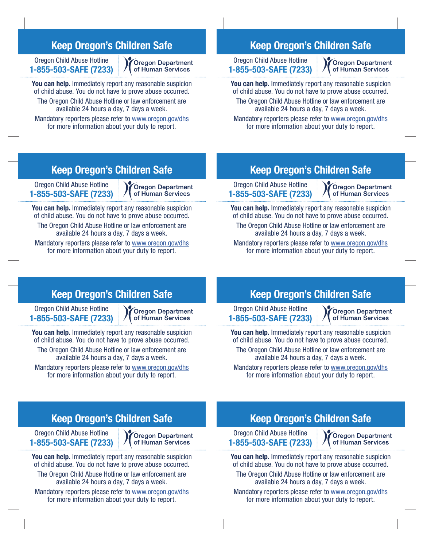## Keep Oregon's Children Safe

Oregon Child Abuse Hotline 1-855-503-SAFE (7233)

**Oregon Department** of Human Services

You can help. Immediately report any reasonable suspicion of child abuse. You do not have to prove abuse occurred. The Oregon Child Abuse Hotline or law enforcement are available 24 hours a day, 7 days a week.

Mandatory reporters please refer to www.oregon.gov/dhs for more information about your duty to report.

## Keep Oregon's Children Safe

Oregon Child Abuse Hotline 1-855-503-SAFE (7233)

**Oregon Department** of Human Services

You can help. Immediately report any reasonable suspicion of child abuse. You do not have to prove abuse occurred. The Oregon Child Abuse Hotline or law enforcement are available 24 hours a day, 7 days a week.

Mandatory reporters please refer to www.oregon.gov/dhs for more information about your duty to report.

# Keep Oregon's Children Safe

Oregon Child Abuse Hotline 1-855-503-SAFE (7233)

Cregon Department of Human Services

You can help. Immediately report any reasonable suspicion of child abuse. You do not have to prove abuse occurred. The Oregon Child Abuse Hotline or law enforcement are available 24 hours a day, 7 days a week.

Mandatory reporters please refer to www.oregon.gov/dhs for more information about your duty to report.

## Keep Oregon's Children Safe

Oregon Child Abuse Hotline 1-855-503-SAFE (7233)

**Oregon Department** of Human Services

You can help. Immediately report any reasonable suspicion of child abuse. You do not have to prove abuse occurred. The Oregon Child Abuse Hotline or law enforcement are available 24 hours a day, 7 days a week.

Mandatory reporters please refer to www.oregon.gov/dhs for more information about your duty to report.

# Keep Oregon's Children Safe

Oregon Child Abuse Hotline 1-855-503-SAFE (7233) **Oregon Department** of Human Services

You can help. Immediately report any reasonable suspicion of child abuse. You do not have to prove abuse occurred. The Oregon Child Abuse Hotline or law enforcement are available 24 hours a day, 7 days a week.

Mandatory reporters please refer to www.oregon.gov/dhs for more information about your duty to report.

### Keep Oregon's Children Safe

Oregon Child Abuse Hotline 1-855-503-SAFE (7233)

**Oregon Department** of Human Services

You can help. Immediately report any reasonable suspicion of child abuse. You do not have to prove abuse occurred. The Oregon Child Abuse Hotline or law enforcement are available 24 hours a day, 7 days a week.

Mandatory reporters please refer to www.oregon.gov/dhs for more information about your duty to report.

## Keep Oregon's Children Safe

Oregon Child Abuse Hotline 1-855-503-SAFE (7233)

**Oregon Department** of Human Services

You can help. Immediately report any reasonable suspicion of child abuse. You do not have to prove abuse occurred. The Oregon Child Abuse Hotline or law enforcement are available 24 hours a day, 7 days a week.

Mandatory reporters please refer to www.oregon.gov/dhs for more information about your duty to report.

## Keep Oregon's Children Safe

Oregon Child Abuse Hotline 1-855-503-SAFE (7233)

**Oregon Department** of Human Services

You can help. Immediately report any reasonable suspicion of child abuse. You do not have to prove abuse occurred. The Oregon Child Abuse Hotline or law enforcement are available 24 hours a day, 7 days a week.

Mandatory reporters please refer to www.oregon.gov/dhs for more information about your duty to report.